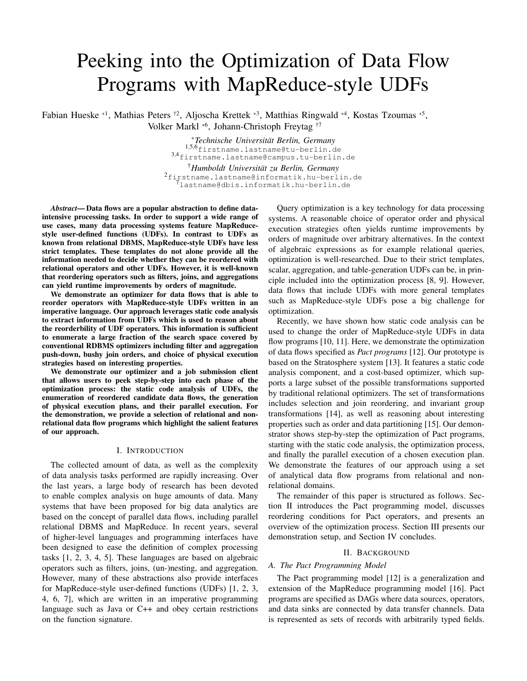# Peeking into the Optimization of Data Flow Programs with MapReduce-style UDFs

Fabian Hueske \*<sup>1</sup>, Mathias Peters <sup>†2</sup>, Aljoscha Krettek \*<sup>3</sup>, Matthias Ringwald \*<sup>4</sup>, Kostas Tzoumas \*<sup>5</sup>, Volker Markl <sup>∗</sup><sup>6</sup> , Johann-Christoph Freytag †7

> <sup>∗</sup>*Technische Universität Berlin, Germany* <sup>1</sup>,5,6firstname.lastname@tu-berlin.de <sup>3</sup>,4firstname.lastname@campus.tu-berlin.de †*Humboldt Universität zu Berlin, Germany*

<sup>2</sup>firstname.lastname@informatik.hu-berlin.de <sup>7</sup>lastname@dbis.informatik.hu-berlin.de

*Abstract*— Data flows are a popular abstraction to define dataintensive processing tasks. In order to support a wide range of use cases, many data processing systems feature MapReducestyle user-defined functions (UDFs). In contrast to UDFs as known from relational DBMS, MapReduce-style UDFs have less strict templates. These templates do not alone provide all the information needed to decide whether they can be reordered with relational operators and other UDFs. However, it is well-known that reordering operators such as filters, joins, and aggregations can yield runtime improvements by orders of magnitude.

We demonstrate an optimizer for data flows that is able to reorder operators with MapReduce-style UDFs written in an imperative language. Our approach leverages static code analysis to extract information from UDFs which is used to reason about the reorderbility of UDF operators. This information is sufficient to enumerate a large fraction of the search space covered by conventional RDBMS optimizers including filter and aggregation push-down, bushy join orders, and choice of physical execution strategies based on interesting properties.

We demonstrate our optimizer and a job submission client that allows users to peek step-by-step into each phase of the optimization process: the static code analysis of UDFs, the enumeration of reordered candidate data flows, the generation of physical execution plans, and their parallel execution. For the demonstration, we provide a selection of relational and nonrelational data flow programs which highlight the salient features of our approach.

#### I. INTRODUCTION

The collected amount of data, as well as the complexity of data analysis tasks performed are rapidly increasing. Over the last years, a large body of research has been devoted to enable complex analysis on huge amounts of data. Many systems that have been proposed for big data analytics are based on the concept of parallel data flows, including parallel relational DBMS and MapReduce. In recent years, several of higher-level languages and programming interfaces have been designed to ease the definition of complex processing tasks [1, 2, 3, 4, 5]. These languages are based on algebraic operators such as filters, joins, (un-)nesting, and aggregation. However, many of these abstractions also provide interfaces for MapReduce-style user-defined functions (UDFs) [1, 2, 3, 4, 6, 7], which are written in an imperative programming language such as Java or C++ and obey certain restrictions on the function signature.

Query optimization is a key technology for data processing systems. A reasonable choice of operator order and physical execution strategies often yields runtime improvements by orders of magnitude over arbitrary alternatives. In the context of algebraic expressions as for example relational queries, optimization is well-researched. Due to their strict templates, scalar, aggregation, and table-generation UDFs can be, in principle included into the optimization process [8, 9]. However, data flows that include UDFs with more general templates such as MapReduce-style UDFs pose a big challenge for optimization.

Recently, we have shown how static code analysis can be used to change the order of MapReduce-style UDFs in data flow programs [10, 11]. Here, we demonstrate the optimization of data flows specified as *Pact programs* [12]. Our prototype is based on the Stratosphere system [13]. It features a static code analysis component, and a cost-based optimizer, which supports a large subset of the possible transformations supported by traditional relational optimizers. The set of transformations includes selection and join reordering, and invariant group transformations [14], as well as reasoning about interesting properties such as order and data partitioning [15]. Our demonstrator shows step-by-step the optimization of Pact programs, starting with the static code analysis, the optimization process, and finally the parallel execution of a chosen execution plan. We demonstrate the features of our approach using a set of analytical data flow programs from relational and nonrelational domains.

The remainder of this paper is structured as follows. Section II introduces the Pact programming model, discusses reordering conditions for Pact operators, and presents an overview of the optimization process. Section III presents our demonstration setup, and Section IV concludes.

## II. BACKGROUND

## *A. The Pact Programming Model*

The Pact programming model [12] is a generalization and extension of the MapReduce programming model [16]. Pact programs are specified as DAGs where data sources, operators, and data sinks are connected by data transfer channels. Data is represented as sets of records with arbitrarily typed fields.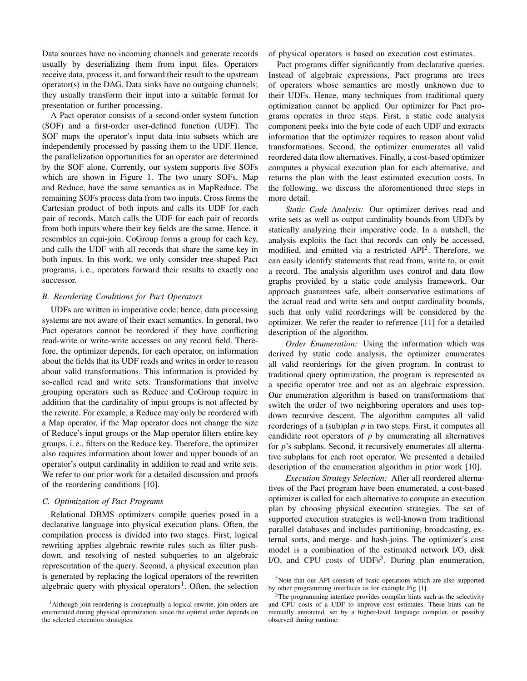Data sources have no incoming channels and generate records usually by deserializing them from input files. Operators receive data, process it, and forward their result to the upstream operator(s) in the DAG. Data sinks have no outgoing channels; they usually transform their input into a suitable format for presentation or further processing.

A Pact operator consists of a second-order system function (SOF) and a first-order user-defined function (UDF). The SOF maps the operator's input data into subsets which are independently processed by passing them to the UDF. Hence, the parallelization opportunities for an operator are determined by the SOF alone. Currently, our system supports five SOFs which are shown in Figure 1. The two unary SOFs, Map and Reduce, have the same semantics as in MapReduce. The remaining SOFs process data from two inputs. Cross forms the Cartesian product of both inputs and calls its UDF for each pair of records. Match calls the UDF for each pair of records from both inputs where their key fields are the same. Hence, it resembles an equi-join. CoGroup forms a group for each key, and calls the UDF with all records that share the same key in both inputs. In this work, we only consider tree-shaped Pact programs, i. e., operators forward their results to exactly one successor.

# *B. Reordering Conditions for Pact Operators*

UDFs are written in imperative code; hence, data processing systems are not aware of their exact semantics. In general, two Pact operators cannot be reordered if they have conflicting read-write or write-write accesses on any record field. Therefore, the optimizer depends, for each operator, on information about the fields that its UDF reads and writes in order to reason about valid transformations. This information is provided by so-called read and write sets. Transformations that involve grouping operators such as Reduce and CoGroup require in addition that the cardinality of input groups is not affected by the rewrite. For example, a Reduce may only be reordered with a Map operator, if the Map operator does not change the size of Reduce's input groups or the Map operator filters entire key groups, i. e., filters on the Reduce key. Therefore, the optimizer also requires information about lower and upper bounds of an operator's output cardinality in addition to read and write sets. We refer to our prior work for a detailed discussion and proofs of the reordering conditions [10].

## *C. Optimization of Pact Programs*

Relational DBMS optimizers compile queries posed in a declarative language into physical execution plans. Often, the compilation process is divided into two stages. First, logical rewriting applies algebraic rewrite rules such as filter pushdown, and resolving of nested subqueries to an algebraic representation of the query. Second, a physical execution plan is generated by replacing the logical operators of the rewritten algebraic query with physical operators<sup>1</sup>. Often, the selection of physical operators is based on execution cost estimates.

Pact programs differ significantly from declarative queries. Instead of algebraic expressions, Pact programs are trees of operators whose semantics are mostly unknown due to their UDFs. Hence, many techniques from traditional query optimization cannot be applied. Our optimizer for Pact programs operates in three steps. First, a static code analysis component peeks into the byte code of each UDF and extracts information that the optimizer requires to reason about valid transformations. Second, the optimizer enumerates all valid reordered data flow alternatives. Finally, a cost-based optimizer computes a physical execution plan for each alternative, and returns the plan with the least estimated execution costs. In the following, we discuss the aforementioned three steps in more detail.

*Static Code Analysis:* Our optimizer derives read and write sets as well as output cardinality bounds from UDFs by statically analyzing their imperative code. In a nutshell, the analysis exploits the fact that records can only be accessed, modified, and emitted via a restricted API<sup>2</sup>. Therefore, we can easily identify statements that read from, write to, or emit a record. The analysis algorithm uses control and data flow graphs provided by a static code analysis framework. Our approach guarantees safe, albeit conservative estimations of the actual read and write sets and output cardinality bounds, such that only valid reorderings will be considered by the optimizer. We refer the reader to reference [11] for a detailed description of the algorithm.

*Order Enumeration:* Using the information which was derived by static code analysis, the optimizer enumerates all valid reorderings for the given program. In contrast to traditional query optimization, the program is represented as a specific operator tree and not as an algebraic expression. Our enumeration algorithm is based on transformations that switch the order of two neighboring operators and uses topdown recursive descent. The algorithm computes all valid reorderings of a (sub)plan *p* in two steps. First, it computes all candidate root operators of *p* by enumerating all alternatives for *p*'s subplans. Second, it recursively enumerates all alternative subplans for each root operator. We presented a detailed description of the enumeration algorithm in prior work [10].

*Execution Strategy Selection:* After all reordered alternatives of the Pact program have been enumerated, a cost-based optimizer is called for each alternative to compute an execution plan by choosing physical execution strategies. The set of supported execution strategies is well-known from traditional parallel databases and includes partitioning, broadcasting, external sorts, and merge- and hash-joins. The optimizer's cost model is a combination of the estimated network I/O, disk I/O, and CPU costs of UDFs<sup>3</sup>. During plan enumeration,

<sup>&</sup>lt;sup>1</sup>Although join reordering is conceptually a logical rewrite, join orders are enumerated during physical optimization, since the optimal order depends on the selected execution strategies.

<sup>2</sup>Note that our API consists of basic operations which are also supported by other programming interfaces as for example Pig [1].

 $3$ The programming interface provides compiler hints such as the selectivity and CPU costs of a UDF to improve cost estimates. These hints can be manually annotated, set by a higher-level language compiler, or possibly observed during runtime.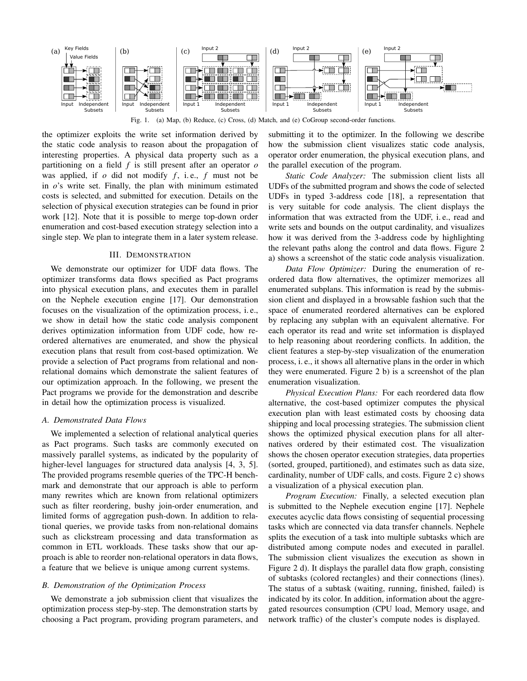

Fig. 1. (a) Map, (b) Reduce, (c) Cross, (d) Match, and (e) CoGroup second-order functions.

the optimizer exploits the write set information derived by the static code analysis to reason about the propagation of interesting properties. A physical data property such as a partitioning on a field *f* is still present after an operator *o* was applied, if  $o$  did not modify  $f$ , i.e.,  $f$  must not be in *o*'s write set. Finally, the plan with minimum estimated costs is selected, and submitted for execution. Details on the selection of physical execution strategies can be found in prior work [12]. Note that it is possible to merge top-down order enumeration and cost-based execution strategy selection into a single step. We plan to integrate them in a later system release.

## III. DEMONSTRATION

We demonstrate our optimizer for UDF data flows. The optimizer transforms data flows specified as Pact programs into physical execution plans, and executes them in parallel on the Nephele execution engine [17]. Our demonstration focuses on the visualization of the optimization process, i. e., we show in detail how the static code analysis component derives optimization information from UDF code, how reordered alternatives are enumerated, and show the physical execution plans that result from cost-based optimization. We provide a selection of Pact programs from relational and nonrelational domains which demonstrate the salient features of our optimization approach. In the following, we present the Pact programs we provide for the demonstration and describe in detail how the optimization process is visualized.

#### *A. Demonstrated Data Flows*

We implemented a selection of relational analytical queries as Pact programs. Such tasks are commonly executed on massively parallel systems, as indicated by the popularity of higher-level languages for structured data analysis [4, 3, 5]. The provided programs resemble queries of the TPC-H benchmark and demonstrate that our approach is able to perform many rewrites which are known from relational optimizers such as filter reordering, bushy join-order enumeration, and limited forms of aggregation push-down. In addition to relational queries, we provide tasks from non-relational domains such as clickstream processing and data transformation as common in ETL workloads. These tasks show that our approach is able to reorder non-relational operators in data flows, a feature that we believe is unique among current systems.

#### *B. Demonstration of the Optimization Process*

We demonstrate a job submission client that visualizes the optimization process step-by-step. The demonstration starts by choosing a Pact program, providing program parameters, and submitting it to the optimizer. In the following we describe how the submission client visualizes static code analysis, operator order enumeration, the physical execution plans, and the parallel execution of the program.

*Static Code Analyzer:* The submission client lists all UDFs of the submitted program and shows the code of selected UDFs in typed 3-address code [18], a representation that is very suitable for code analysis. The client displays the information that was extracted from the UDF, i. e., read and write sets and bounds on the output cardinality, and visualizes how it was derived from the 3-address code by highlighting the relevant paths along the control and data flows. Figure 2 a) shows a screenshot of the static code analysis visualization.

*Data Flow Optimizer:* During the enumeration of reordered data flow alternatives, the optimizer memorizes all enumerated subplans. This information is read by the submission client and displayed in a browsable fashion such that the space of enumerated reordered alternatives can be explored by replacing any subplan with an equivalent alternative. For each operator its read and write set information is displayed to help reasoning about reordering conflicts. In addition, the client features a step-by-step visualization of the enumeration process, i. e., it shows all alternative plans in the order in which they were enumerated. Figure 2 b) is a screenshot of the plan enumeration visualization.

*Physical Execution Plans:* For each reordered data flow alternative, the cost-based optimizer computes the physical execution plan with least estimated costs by choosing data shipping and local processing strategies. The submission client shows the optimized physical execution plans for all alternatives ordered by their estimated cost. The visualization shows the chosen operator execution strategies, data properties (sorted, grouped, partitioned), and estimates such as data size, cardinality, number of UDF calls, and costs. Figure 2 c) shows a visualization of a physical execution plan.

*Program Execution:* Finally, a selected execution plan is submitted to the Nephele execution engine [17]. Nephele executes acyclic data flows consisting of sequential processing tasks which are connected via data transfer channels. Nephele splits the execution of a task into multiple subtasks which are distributed among compute nodes and executed in parallel. The submission client visualizes the execution as shown in Figure 2 d). It displays the parallel data flow graph, consisting of subtasks (colored rectangles) and their connections (lines). The status of a subtask (waiting, running, finished, failed) is indicated by its color. In addition, information about the aggregated resources consumption (CPU load, Memory usage, and network traffic) of the cluster's compute nodes is displayed.